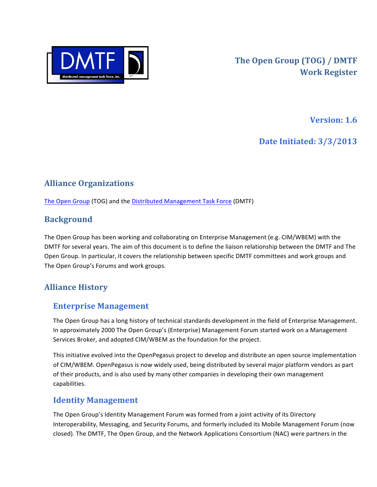

**Version: 1.6** 

**Date Initiated: 3/3/2013** 

# **Alliance Organizations**

The Open Group (TOG) and the Distributed Management Task Force (DMTF)

### **Background**

The Open Group has been working and collaborating on Enterprise Management (e.g. CIM/WBEM) with the DMTF for several years. The aim of this document is to define the liaison relationship between the DMTF and The Open Group. In particular, it covers the relationship between specific DMTF committees and work groups and The Open Group's Forums and work groups.

## **Alliance History**

#### **Enterprise Management**

The Open Group has a long history of technical standards development in the field of Enterprise Management. In approximately 2000 The Open Group's (Enterprise) Management Forum started work on a Management Services Broker, and adopted CIM/WBEM as the foundation for the project.

This initiative evolved into the OpenPegasus project to develop and distribute an open source implementation of CIM/WBEM. OpenPegasus is now widely used, being distributed by several major platform vendors as part of their products, and is also used by many other companies in developing their own management capabilities.

#### **Identity Management**

The Open Group's Identity Management Forum was formed from a joint activity of its Directory Interoperability, Messaging, and Security Forums, and formerly included its Mobile Management Forum (now closed). The DMTF, The Open Group, and the Network Applications Consortium (NAC) were partners in the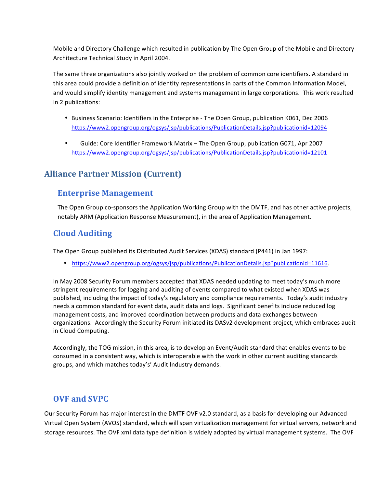Mobile and Directory Challenge which resulted in publication by The Open Group of the Mobile and Directory Architecture Technical Study in April 2004.

The same three organizations also jointly worked on the problem of common core identifiers. A standard in this area could provide a definition of identity representations in parts of the Common Information Model, and would simplify identity management and systems management in large corporations. This work resulted in 2 publications:

- Business Scenario: Identifiers in the Enterprise The Open Group, publication K061, Dec 2006 https://www2.opengroup.org/ogsys/jsp/publications/PublicationDetails.jsp?publicationid=12094
- Guide: Core Identifier Framework Matrix The Open Group, publication G071, Apr 2007 https://www2.opengroup.org/ogsys/jsp/publications/PublicationDetails.jsp?publicationid=12101

## **Alliance Partner Mission (Current)**

#### **Enterprise Management**

The Open Group co-sponsors the Application Working Group with the DMTF, and has other active projects, notably ARM (Application Response Measurement), in the area of Application Management.

#### **Cloud Auditing**

The Open Group published its Distributed Audit Services (XDAS) standard (P441) in Jan 1997:

• https://www2.opengroup.org/ogsys/jsp/publications/PublicationDetails.jsp?publicationid=11616.

In May 2008 Security Forum members accepted that XDAS needed updating to meet today's much more stringent requirements for logging and auditing of events compared to what existed when XDAS was published, including the impact of today's regulatory and compliance requirements. Today's audit industry needs a common standard for event data, audit data and logs. Significant benefits include reduced log management costs, and improved coordination between products and data exchanges between organizations. Accordingly the Security Forum initiated its DASv2 development project, which embraces audit in Cloud Computing.

Accordingly, the TOG mission, in this area, is to develop an Event/Audit standard that enables events to be consumed in a consistent way, which is interoperable with the work in other current auditing standards groups, and which matches today's' Audit Industry demands.

#### **OVF** and **SVPC**

Our Security Forum has major interest in the DMTF OVF v2.0 standard, as a basis for developing our Advanced Virtual Open System (AVOS) standard, which will span virtualization management for virtual servers, network and storage resources. The OVF xml data type definition is widely adopted by virtual management systems. The OVF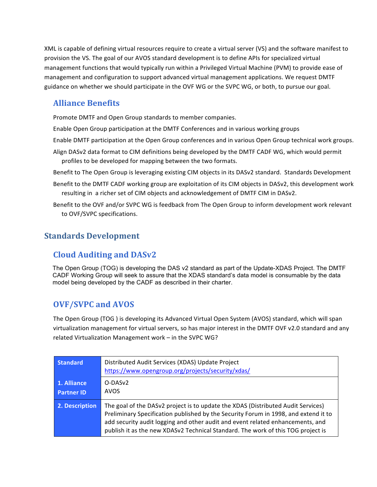XML is capable of defining virtual resources require to create a virtual server (VS) and the software manifest to provision the VS. The goal of our AVOS standard development is to define APIs for specialized virtual management functions that would typically run within a Privileged Virtual Machine (PVM) to provide ease of management and configuration to support advanced virtual management applications. We request DMTF guidance on whether we should participate in the OVF WG or the SVPC WG, or both, to pursue our goal.

#### **Alliance Benefits**

Promote DMTF and Open Group standards to member companies.

- Enable Open Group participation at the DMTF Conferences and in various working groups
- Enable DMTF participation at the Open Group conferences and in various Open Group technical work groups.
- Align DASv2 data format to CIM definitions being developed by the DMTF CADF WG, which would permit profiles to be developed for mapping between the two formats.
- Benefit to The Open Group is leveraging existing CIM objects in its DASv2 standard. Standards Development
- Benefit to the DMTF CADF working group are exploitation of its CIM objects in DASv2, this development work resulting in a richer set of CIM objects and acknowledgement of DMTF CIM in DASv2.
- Benefit to the OVF and/or SVPC WG is feedback from The Open Group to inform development work relevant to OVF/SVPC specifications.

### **Standards Development**

## **Cloud Auditing and DASv2**

The Open Group (TOG) is developing the DAS v2 standard as part of the Update-XDAS Project. The DMTF CADF Working Group will seek to assure that the XDAS standard's data model is consumable by the data model being developed by the CADF as described in their charter.

## **OVF/SVPC** and **AVOS**

The Open Group (TOG) is developing its Advanced Virtual Open System (AVOS) standard, which will span virtualization management for virtual servers, so has major interest in the DMTF OVF v2.0 standard and any related Virtualization Management work - in the SVPC WG?

| <b>Standard</b>                  | Distributed Audit Services (XDAS) Update Project<br>https://www.opengroup.org/projects/security/xdas/                                                                                                                                                                                                                                         |
|----------------------------------|-----------------------------------------------------------------------------------------------------------------------------------------------------------------------------------------------------------------------------------------------------------------------------------------------------------------------------------------------|
| 1. Alliance<br><b>Partner ID</b> | O-DAS <sub>v</sub> 2<br><b>AVOS</b>                                                                                                                                                                                                                                                                                                           |
| 2. Description                   | The goal of the DASv2 project is to update the XDAS (Distributed Audit Services)<br>Preliminary Specification published by the Security Forum in 1998, and extend it to<br>add security audit logging and other audit and event related enhancements, and<br>publish it as the new XDASv2 Technical Standard. The work of this TOG project is |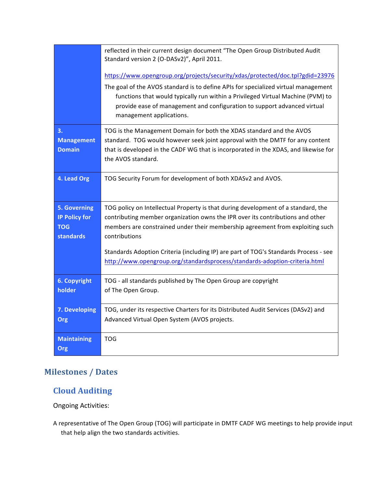|                           | reflected in their current design document "The Open Group Distributed Audit<br>Standard version 2 (O-DASv2)", April 2011.                                                                                                                                                    |
|---------------------------|-------------------------------------------------------------------------------------------------------------------------------------------------------------------------------------------------------------------------------------------------------------------------------|
|                           | https://www.opengroup.org/projects/security/xdas/protected/doc.tpl?gdid=23976                                                                                                                                                                                                 |
|                           | The goal of the AVOS standard is to define APIs for specialized virtual management<br>functions that would typically run within a Privileged Virtual Machine (PVM) to<br>provide ease of management and configuration to support advanced virtual<br>management applications. |
| 3.                        | TOG is the Management Domain for both the XDAS standard and the AVOS                                                                                                                                                                                                          |
| <b>Management</b>         | standard. TOG would however seek joint approval with the DMTF for any content                                                                                                                                                                                                 |
| <b>Domain</b>             | that is developed in the CADF WG that is incorporated in the XDAS, and likewise for<br>the AVOS standard.                                                                                                                                                                     |
| 4. Lead Org               | TOG Security Forum for development of both XDASv2 and AVOS.                                                                                                                                                                                                                   |
| 5. Governing              | TOG policy on Intellectual Property is that during development of a standard, the                                                                                                                                                                                             |
| <b>IP Policy for</b>      | contributing member organization owns the IPR over its contributions and other                                                                                                                                                                                                |
| <b>TOG</b><br>standards   | members are constrained under their membership agreement from exploiting such<br>contributions                                                                                                                                                                                |
|                           | Standards Adoption Criteria (including IP) are part of TOG's Standards Process - see<br>http://www.opengroup.org/standardsprocess/standards-adoption-criteria.html                                                                                                            |
| 6. Copyright<br>holder    | TOG - all standards published by The Open Group are copyright<br>of The Open Group.                                                                                                                                                                                           |
| 7. Developing             | TOG, under its respective Charters for its Distributed Audit Services (DASv2) and                                                                                                                                                                                             |
| Org                       | Advanced Virtual Open System (AVOS projects.                                                                                                                                                                                                                                  |
| <b>Maintaining</b><br>Org | <b>TOG</b>                                                                                                                                                                                                                                                                    |

# **Milestones / Dates**

# **Cloud Auditing**

**Ongoing Activities:** 

A representative of The Open Group (TOG) will participate in DMTF CADF WG meetings to help provide input that help align the two standards activities.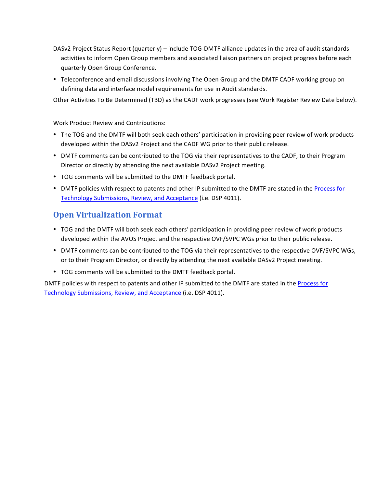- DASv2 Project Status Report (quarterly) include TOG-DMTF alliance updates in the area of audit standards activities to inform Open Group members and associated liaison partners on project progress before each quarterly Open Group Conference.
- Teleconference and email discussions involving The Open Group and the DMTF CADF working group on defining data and interface model requirements for use in Audit standards.

Other Activities To Be Determined (TBD) as the CADF work progresses (see Work Register Review Date below).

#### Work Product Review and Contributions:

- The TOG and the DMTF will both seek each others' participation in providing peer review of work products developed within the DASv2 Project and the CADF WG prior to their public release.
- DMTF comments can be contributed to the TOG via their representatives to the CADF, to their Program Director or directly by attending the next available DASv2 Project meeting.
- TOG comments will be submitted to the DMTF feedback portal.
- DMTF policies with respect to patents and other IP submitted to the DMTF are stated in the Process for Technology Submissions, Review, and Acceptance (i.e. DSP 4011).

#### **Open Virtualization Format**

- TOG and the DMTF will both seek each others' participation in providing peer review of work products developed within the AVOS Project and the respective OVF/SVPC WGs prior to their public release.
- DMTF comments can be contributed to the TOG via their representatives to the respective OVF/SVPC WGs, or to their Program Director, or directly by attending the next available DASv2 Project meeting.
- TOG comments will be submitted to the DMTF feedback portal.

DMTF policies with respect to patents and other IP submitted to the DMTF are stated in the Process for Technology Submissions, Review, and Acceptance (i.e. DSP 4011).